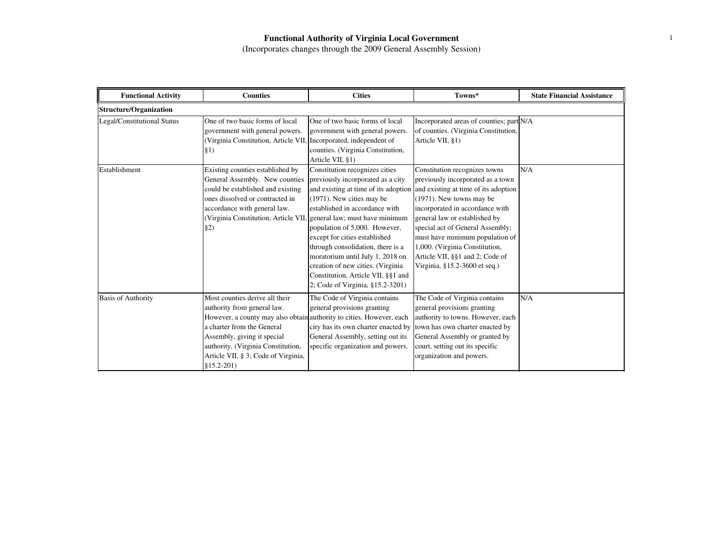| <b>Functional Activity</b>    | <b>Counties</b>                                                                                                                                                                                                                                                                                 | <b>Cities</b>                                                                                                                                                                                                                                                                                                                                                                                | Towns*                                                                                                                                                                                                                                                                                                                                                                                                                          | <b>State Financial Assistance</b> |
|-------------------------------|-------------------------------------------------------------------------------------------------------------------------------------------------------------------------------------------------------------------------------------------------------------------------------------------------|----------------------------------------------------------------------------------------------------------------------------------------------------------------------------------------------------------------------------------------------------------------------------------------------------------------------------------------------------------------------------------------------|---------------------------------------------------------------------------------------------------------------------------------------------------------------------------------------------------------------------------------------------------------------------------------------------------------------------------------------------------------------------------------------------------------------------------------|-----------------------------------|
| <b>Structure/Organization</b> |                                                                                                                                                                                                                                                                                                 |                                                                                                                                                                                                                                                                                                                                                                                              |                                                                                                                                                                                                                                                                                                                                                                                                                                 |                                   |
| Legal/Constitutional Status   | One of two basic forms of local<br>government with general powers.<br>(Virginia Constitution, Article VII, Incorporated, independent of<br>\$1)                                                                                                                                                 | One of two basic forms of local<br>government with general powers.<br>counties. (Virginia Constitution,<br>Article VII, §1)                                                                                                                                                                                                                                                                  | Incorporated areas of counties; part N/A<br>of counties. (Virginia Constitution,<br>Article VII, §1)                                                                                                                                                                                                                                                                                                                            |                                   |
| Establishment                 | Existing counties established by<br>General Assembly. New counties<br>could be established and existing<br>ones dissolved or contracted in<br>accordance with general law.<br>(Virginia Constitution, Article VII, general law; must have minimum<br>§2)                                        | Constitution recognizes cities<br>previously incorporated as a city<br>(1971). New cities may be<br>established in accordance with<br>population of 5,000. However,<br>except for cities established<br>through consolidation, there is a<br>moratorium until July 1, 2018 on<br>creation of new cities. (Virginia<br>Constitution, Article VII, §§1 and<br>2; Code of Virginia, §15.2-3201) | Constitution recognizes towns<br>previously incorporated as a town<br>and existing at time of its adoption and existing at time of its adoption<br>$(1971)$ . New towns may be<br>incorporated in accordance with<br>general law or established by<br>special act of General Assembly;<br>must have minimum population of<br>1,000. (Virginia Constitution,<br>Article VII, §§1 and 2; Code of<br>Virginia, §15.2-3600 et seq.) | N/A                               |
| <b>Basis of Authority</b>     | Most counties derive all their<br>authority from general law.<br>However, a county may also obtain authority to cities. However, each<br>a charter from the General<br>Assembly, giving it special<br>authority. (Virginia Constitution,<br>Article VII, § 3; Code of Virginia,<br>$$15.2-201)$ | The Code of Virginia contains<br>general provisions granting<br>city has its own charter enacted by<br>General Assembly, setting out its<br>specific organization and powers.                                                                                                                                                                                                                | The Code of Virginia contains<br>general provisions granting<br>authority to towns. However, each<br>town has own charter enacted by<br>General Assembly or granted by<br>court, setting out its specific<br>organization and powers.                                                                                                                                                                                           | N/A                               |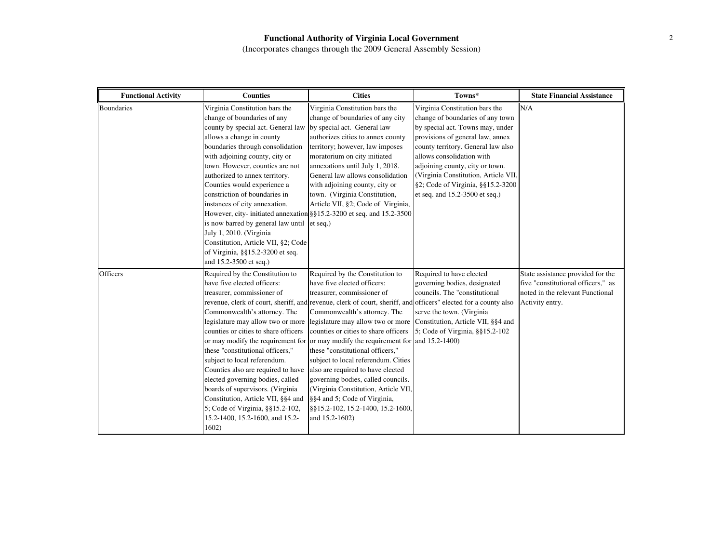| <b>Functional Activity</b> | <b>Counties</b>                                                                                                                                                                                                                                                                                                                                                                                                                                                                                                                                             | <b>Cities</b>                                                                                                                                                                                                                                                                                                                                                                                                                                                                                                                                                                                                                                                                                                                               | Towns*                                                                                                                                                                                                                                                                                                                                                          | <b>State Financial Assistance</b>                                                                                              |
|----------------------------|-------------------------------------------------------------------------------------------------------------------------------------------------------------------------------------------------------------------------------------------------------------------------------------------------------------------------------------------------------------------------------------------------------------------------------------------------------------------------------------------------------------------------------------------------------------|---------------------------------------------------------------------------------------------------------------------------------------------------------------------------------------------------------------------------------------------------------------------------------------------------------------------------------------------------------------------------------------------------------------------------------------------------------------------------------------------------------------------------------------------------------------------------------------------------------------------------------------------------------------------------------------------------------------------------------------------|-----------------------------------------------------------------------------------------------------------------------------------------------------------------------------------------------------------------------------------------------------------------------------------------------------------------------------------------------------------------|--------------------------------------------------------------------------------------------------------------------------------|
| <b>Boundaries</b>          | Virginia Constitution bars the<br>change of boundaries of any<br>county by special act. General law<br>allows a change in county<br>boundaries through consolidation<br>with adjoining county, city or<br>town. However, counties are not<br>authorized to annex territory.<br>Counties would experience a<br>constriction of boundaries in<br>instances of city annexation.<br>is now barred by general law until et seq.)<br>July 1, 2010. (Virginia<br>Constitution, Article VII, §2; Code<br>of Virginia, §§15.2-3200 et seq.<br>and 15.2-3500 et seq.) | Virginia Constitution bars the<br>change of boundaries of any city<br>by special act. General law<br>authorizes cities to annex county<br>territory; however, law imposes<br>moratorium on city initiated<br>annexations until July 1, 2018.<br>General law allows consolidation<br>with adjoining county, city or<br>town. (Virginia Constitution,<br>Article VII, §2; Code of Virginia,<br>However, city- initiated annexation §§15.2-3200 et seq. and 15.2-3500                                                                                                                                                                                                                                                                          | Virginia Constitution bars the<br>change of boundaries of any town<br>by special act. Towns may, under<br>provisions of general law, annex<br>county territory. General law also<br>allows consolidation with<br>adjoining county, city or town.<br>(Virginia Constitution, Article VII,<br>§2; Code of Virginia, §§15.2-3200<br>et seq. and 15.2-3500 et seq.) | N/A                                                                                                                            |
| <b>Officers</b>            | Required by the Constitution to<br>have five elected officers:<br>treasurer, commissioner of<br>Commonwealth's attorney. The<br>legislature may allow two or more<br>counties or cities to share officers<br>these "constitutional officers,"<br>subject to local referendum.<br>Counties also are required to have<br>elected governing bodies, called<br>boards of supervisors. (Virginia<br>Constitution, Article VII, §§4 and<br>5; Code of Virginia, §§15.2-102,<br>15.2-1400, 15.2-1600, and 15.2-<br>1602)                                           | Required by the Constitution to<br>have five elected officers:<br>treasurer, commissioner of<br>revenue, clerk of court, sheriff, and revenue, clerk of court, sheriff, and officers" elected for a county also<br>Commonwealth's attorney. The<br>legislature may allow two or more Constitution, Article VII, §§4 and<br>counties or cities to share officers<br>or may modify the requirement for lor may modify the requirement for and 15.2-1400)<br>these "constitutional officers,"<br>subject to local referendum. Cities<br>also are required to have elected<br>governing bodies, called councils.<br>(Virginia Constitution, Article VII,<br>§§4 and 5; Code of Virginia,<br>§§15.2-102, 15.2-1400, 15.2-1600,<br>and 15.2-1602) | Required to have elected<br>governing bodies, designated<br>councils. The "constitutional<br>serve the town. (Virginia)<br>5; Code of Virginia, §§15.2-102                                                                                                                                                                                                      | State assistance provided for the<br>five "constitutional officers," as<br>noted in the relevant Functional<br>Activity entry. |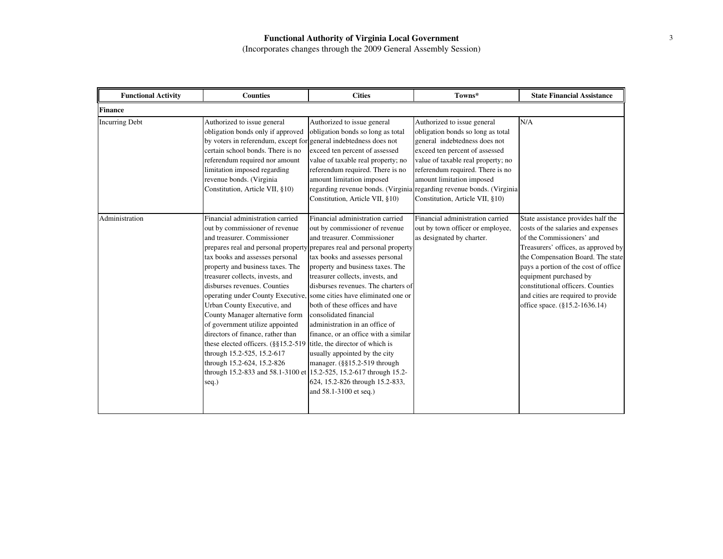| <b>Functional Activity</b> | <b>Counties</b>                                                                                                                                                                                                                                                                                                                                                                                                                                                                                                                                                                                                                                                                                                                                             | <b>Cities</b>                                                                                                                                                                                                                                                                                                                                                                                                                                                                                                                         | Towns*                                                                                                                                                                                                                                                                                                                                                 | <b>State Financial Assistance</b>                                                                                                                                                                                                                                                                                                                               |
|----------------------------|-------------------------------------------------------------------------------------------------------------------------------------------------------------------------------------------------------------------------------------------------------------------------------------------------------------------------------------------------------------------------------------------------------------------------------------------------------------------------------------------------------------------------------------------------------------------------------------------------------------------------------------------------------------------------------------------------------------------------------------------------------------|---------------------------------------------------------------------------------------------------------------------------------------------------------------------------------------------------------------------------------------------------------------------------------------------------------------------------------------------------------------------------------------------------------------------------------------------------------------------------------------------------------------------------------------|--------------------------------------------------------------------------------------------------------------------------------------------------------------------------------------------------------------------------------------------------------------------------------------------------------------------------------------------------------|-----------------------------------------------------------------------------------------------------------------------------------------------------------------------------------------------------------------------------------------------------------------------------------------------------------------------------------------------------------------|
| <b>Finance</b>             |                                                                                                                                                                                                                                                                                                                                                                                                                                                                                                                                                                                                                                                                                                                                                             |                                                                                                                                                                                                                                                                                                                                                                                                                                                                                                                                       |                                                                                                                                                                                                                                                                                                                                                        |                                                                                                                                                                                                                                                                                                                                                                 |
| <b>Incurring Debt</b>      | Authorized to issue general<br>obligation bonds only if approved<br>by voters in referendum, except for general indebtedness does not<br>certain school bonds. There is no<br>referendum required nor amount<br>limitation imposed regarding<br>revenue bonds. (Virginia<br>Constitution, Article VII, §10)                                                                                                                                                                                                                                                                                                                                                                                                                                                 | Authorized to issue general<br>obligation bonds so long as total<br>exceed ten percent of assessed<br>value of taxable real property; no<br>referendum required. There is no<br>amount limitation imposed<br>Constitution, Article VII, §10)                                                                                                                                                                                                                                                                                          | Authorized to issue general<br>obligation bonds so long as total<br>general indebtedness does not<br>exceed ten percent of assessed<br>value of taxable real property; no<br>referendum required. There is no<br>amount limitation imposed<br>regarding revenue bonds. (Virginia regarding revenue bonds. (Virginia<br>Constitution, Article VII, §10) | N/A                                                                                                                                                                                                                                                                                                                                                             |
| Administration             | Financial administration carried<br>out by commissioner of revenue<br>and treasurer. Commissioner<br>prepares real and personal property prepares real and personal property<br>tax books and assesses personal<br>property and business taxes. The<br>treasurer collects, invests, and<br>disburses revenues. Counties<br>operating under County Executive, some cities have eliminated one or<br>Urban County Executive, and<br>County Manager alternative form<br>of government utilize appointed<br>directors of finance, rather than<br>these elected officers. (§§15.2-519 title, the director of which is<br>through 15.2-525, 15.2-617<br>through 15.2-624, 15.2-826<br>through 15.2-833 and 58.1-3100 et 15.2-525, 15.2-617 through 15.2-<br>seq.) | Financial administration carried<br>out by commissioner of revenue<br>and treasurer. Commissioner<br>tax books and assesses personal<br>property and business taxes. The<br>treasurer collects, invests, and<br>disburses revenues. The charters of<br>both of these offices and have<br>consolidated financial<br>administration in an office of<br>finance, or an office with a similar<br>usually appointed by the city<br>manager. $(\frac{8}{5}15.2 - 519)$ through<br>624, 15.2-826 through 15.2-833,<br>and 58.1-3100 et seq.) | Financial administration carried<br>out by town officer or employee,<br>as designated by charter.                                                                                                                                                                                                                                                      | State assistance provides half the<br>costs of the salaries and expenses<br>of the Commissioners' and<br>Treasurers' offices, as approved by<br>the Compensation Board. The state<br>pays a portion of the cost of office<br>equipment purchased by<br>constitutional officers. Counties<br>and cities are required to provide<br>office space. (§15.2-1636.14) |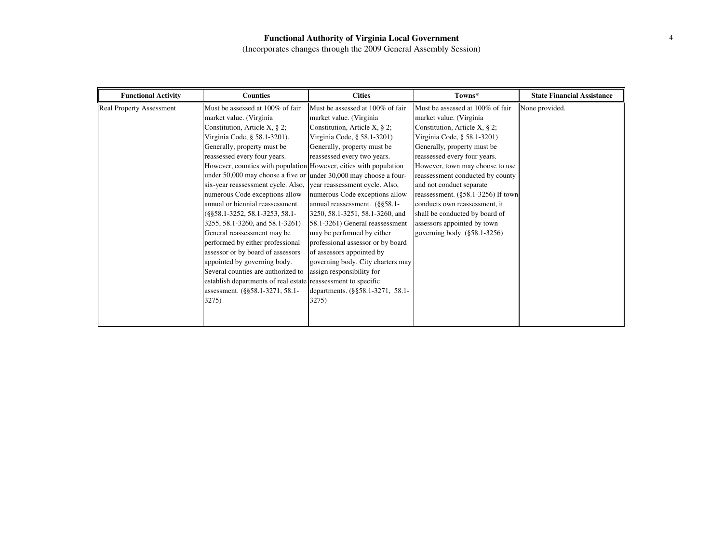| <b>Functional Activity</b>      | <b>Counties</b>                                                   | <b>Cities</b>                     | Towns*                             | <b>State Financial Assistance</b> |
|---------------------------------|-------------------------------------------------------------------|-----------------------------------|------------------------------------|-----------------------------------|
| <b>Real Property Assessment</b> | Must be assessed at 100% of fair                                  | Must be assessed at 100% of fair  | Must be assessed at 100% of fair   | None provided.                    |
|                                 | market value. (Virginia                                           | market value. (Virginia           | market value. (Virginia            |                                   |
|                                 | Constitution, Article X, $\S$ 2;                                  | Constitution, Article X, $\S$ 2;  | Constitution, Article X, § 2;      |                                   |
|                                 | Virginia Code, § 58.1-3201).                                      | Virginia Code, § 58.1-3201)       | Virginia Code, § 58.1-3201)        |                                   |
|                                 | Generally, property must be                                       | Generally, property must be       | Generally, property must be        |                                   |
|                                 | reassessed every four years.                                      | reassessed every two years.       | reassessed every four years.       |                                   |
|                                 | However, counties with population However, cities with population |                                   | However, town may choose to use    |                                   |
|                                 | under 50,000 may choose a five or under 30,000 may choose a four- |                                   | reassessment conducted by county   |                                   |
|                                 | six-year reassessment cycle. Also, year reassessment cycle. Also, |                                   | and not conduct separate           |                                   |
|                                 | numerous Code exceptions allow                                    | numerous Code exceptions allow    | reassessment. (§58.1-3256) If town |                                   |
|                                 | annual or biennial reassessment.                                  | annual reassessment. (§§58.1-     | conducts own reassessment, it      |                                   |
|                                 | $(\$§58.1-3252, 58.1-3253, 58.1-$                                 | 3250, 58.1-3251, 58.1-3260, and   | shall be conducted by board of     |                                   |
|                                 | 3255, 58.1-3260, and 58.1-3261)                                   | 58.1-3261) General reassessment   | assessors appointed by town        |                                   |
|                                 | General reassessment may be                                       | may be performed by either        | governing body. (§58.1-3256)       |                                   |
|                                 | performed by either professional                                  | professional assessor or by board |                                    |                                   |
|                                 | assessor or by board of assessors                                 | of assessors appointed by         |                                    |                                   |
|                                 | appointed by governing body.                                      | governing body. City charters may |                                    |                                   |
|                                 | Several counties are authorized to                                | assign responsibility for         |                                    |                                   |
|                                 | establish departments of real estate reassessment to specific     |                                   |                                    |                                   |
|                                 | assessment. (§§58.1-3271, 58.1-                                   | departments. (§§58.1-3271, 58.1-  |                                    |                                   |
|                                 | 3275)                                                             | 3275)                             |                                    |                                   |
|                                 |                                                                   |                                   |                                    |                                   |
|                                 |                                                                   |                                   |                                    |                                   |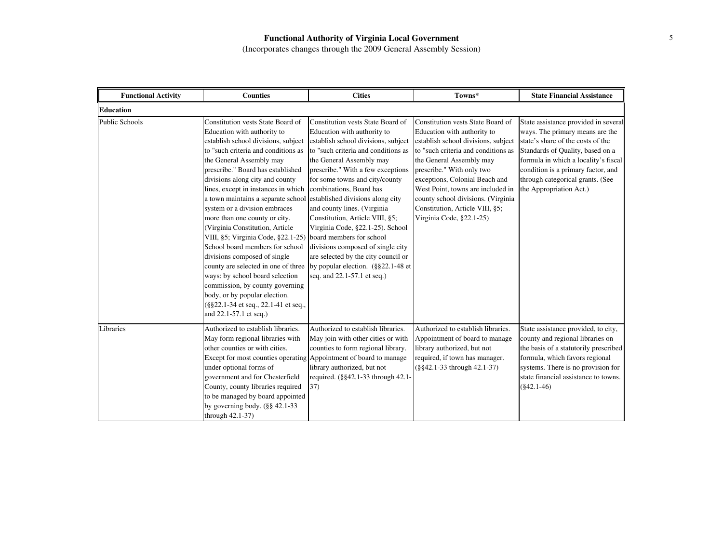| <b>Functional Activity</b> | <b>Counties</b>                                                                                                                                                                                                                                                                                                                                                                                                                                                                                                                                                                                                                                                                                                                                                                                                                                                                    | <b>Cities</b>                                                                                                                                                                                                                                                                                                                                                                                                                                                      | Towns*                                                                                                                                                                                                                                                                                                                                                                              | <b>State Financial Assistance</b>                                                                                                                                                                                                                                                             |
|----------------------------|------------------------------------------------------------------------------------------------------------------------------------------------------------------------------------------------------------------------------------------------------------------------------------------------------------------------------------------------------------------------------------------------------------------------------------------------------------------------------------------------------------------------------------------------------------------------------------------------------------------------------------------------------------------------------------------------------------------------------------------------------------------------------------------------------------------------------------------------------------------------------------|--------------------------------------------------------------------------------------------------------------------------------------------------------------------------------------------------------------------------------------------------------------------------------------------------------------------------------------------------------------------------------------------------------------------------------------------------------------------|-------------------------------------------------------------------------------------------------------------------------------------------------------------------------------------------------------------------------------------------------------------------------------------------------------------------------------------------------------------------------------------|-----------------------------------------------------------------------------------------------------------------------------------------------------------------------------------------------------------------------------------------------------------------------------------------------|
| <b>Education</b>           |                                                                                                                                                                                                                                                                                                                                                                                                                                                                                                                                                                                                                                                                                                                                                                                                                                                                                    |                                                                                                                                                                                                                                                                                                                                                                                                                                                                    |                                                                                                                                                                                                                                                                                                                                                                                     |                                                                                                                                                                                                                                                                                               |
| <b>Public Schools</b>      | Constitution vests State Board of<br>Education with authority to<br>establish school divisions, subject<br>to "such criteria and conditions as<br>the General Assembly may<br>prescribe." Board has established<br>divisions along city and county<br>lines, except in instances in which combinations, Board has<br>a town maintains a separate school established divisions along city<br>system or a division embraces<br>more than one county or city.<br>(Virginia Constitution, Article<br>VIII, §5; Virginia Code, §22.1-25) board members for school<br>School board members for school<br>divisions composed of single<br>county are selected in one of three by popular election. (§§22.1-48 et<br>ways: by school board selection<br>commission, by county governing<br>body, or by popular election.<br>(§§22.1-34 et seq., 22.1-41 et seq.,<br>and 22.1-57.1 et seq.) | Constitution vests State Board of<br>Education with authority to<br>establish school divisions, subject<br>to "such criteria and conditions as<br>the General Assembly may<br>prescribe." With a few exceptions<br>for some towns and city/county<br>and county lines. (Virginia<br>Constitution, Article VIII, §5;<br>Virginia Code, §22.1-25). School<br>divisions composed of single city<br>are selected by the city council or<br>seq. and 22.1-57.1 et seq.) | Constitution vests State Board of<br>Education with authority to<br>establish school divisions, subject<br>to "such criteria and conditions as<br>the General Assembly may<br>prescribe." With only two<br>exceptions, Colonial Beach and<br>West Point, towns are included in<br>county school divisions. (Virginia<br>Constitution, Article VIII, §5;<br>Virginia Code, §22.1-25) | State assistance provided in several<br>ways. The primary means are the<br>state's share of the costs of the<br>Standards of Quality, based on a<br>formula in which a locality's fiscal<br>condition is a primary factor, and<br>through categorical grants. (See<br>the Appropriation Act.) |
| Libraries                  | Authorized to establish libraries.<br>May form regional libraries with<br>other counties or with cities.<br>Except for most counties operating Appointment of board to manage<br>under optional forms of<br>government and for Chesterfield<br>County, county libraries required<br>to be managed by board appointed<br>by governing body. $(\S$ § 42.1-33<br>through 42.1-37)                                                                                                                                                                                                                                                                                                                                                                                                                                                                                                     | Authorized to establish libraries.<br>May join with other cities or with<br>counties to form regional library.<br>library authorized, but not<br>required. (§§42.1-33 through 42.1-<br>37)                                                                                                                                                                                                                                                                         | Authorized to establish libraries.<br>Appointment of board to manage<br>library authorized, but not<br>required, if town has manager.<br>$(\$§42.1-33$ through $42.1-37$ )                                                                                                                                                                                                          | State assistance provided, to city,<br>county and regional libraries on<br>the basis of a statutorily prescribed<br>formula, which favors regional<br>systems. There is no provision for<br>state financial assistance to towns.<br>$(\$42.1-46)$                                             |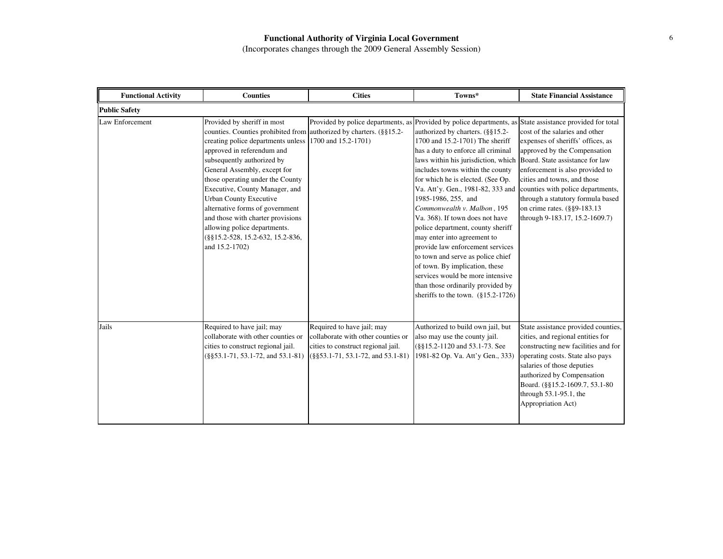| <b>Functional Activity</b> | <b>Counties</b>                                                                                                                                                                                                                                                                                                                                                                                                                                                                                                               | <b>Cities</b>                                                                                                                                  | Towns*                                                                                                                                                                                                                                                                                                                                                                                                                                                                                                                                                                                                                                                   | <b>State Financial Assistance</b>                                                                                                                                                                                                                                                                                                                    |
|----------------------------|-------------------------------------------------------------------------------------------------------------------------------------------------------------------------------------------------------------------------------------------------------------------------------------------------------------------------------------------------------------------------------------------------------------------------------------------------------------------------------------------------------------------------------|------------------------------------------------------------------------------------------------------------------------------------------------|----------------------------------------------------------------------------------------------------------------------------------------------------------------------------------------------------------------------------------------------------------------------------------------------------------------------------------------------------------------------------------------------------------------------------------------------------------------------------------------------------------------------------------------------------------------------------------------------------------------------------------------------------------|------------------------------------------------------------------------------------------------------------------------------------------------------------------------------------------------------------------------------------------------------------------------------------------------------------------------------------------------------|
| <b>Public Safety</b>       |                                                                                                                                                                                                                                                                                                                                                                                                                                                                                                                               |                                                                                                                                                |                                                                                                                                                                                                                                                                                                                                                                                                                                                                                                                                                                                                                                                          |                                                                                                                                                                                                                                                                                                                                                      |
| Law Enforcement            | Provided by sheriff in most<br>counties. Counties prohibited from authorized by charters. (§§15.2-<br>creating police departments unless 1700 and 15.2-1701)<br>approved in referendum and<br>subsequently authorized by<br>General Assembly, except for<br>those operating under the County<br>Executive, County Manager, and<br><b>Urban County Executive</b><br>alternative forms of government<br>and those with charter provisions<br>allowing police departments.<br>(§§15.2-528, 15.2-632, 15.2-836,<br>and 15.2-1702) | Provided by police departments, as Provided by police departments, as State assistance provided for total                                      | authorized by charters. (§§15.2-<br>1700 and 15.2-1701) The sheriff<br>has a duty to enforce all criminal<br>laws within his jurisdiction, which<br>includes towns within the county<br>for which he is elected. (See Op.<br>Va. Att'y. Gen., 1981-82, 333 and<br>1985-1986, 255, and<br>Commonwealth v. Malbon, 195<br>Va. 368). If town does not have<br>police department, county sheriff<br>may enter into agreement to<br>provide law enforcement services<br>to town and serve as police chief<br>of town. By implication, these<br>services would be more intensive<br>than those ordinarily provided by<br>sheriffs to the town. $(\S15.2-1726)$ | cost of the salaries and other<br>expenses of sheriffs' offices, as<br>approved by the Compensation<br>Board. State assistance for law<br>enforcement is also provided to<br>cities and towns, and those<br>counties with police departments,<br>through a statutory formula based<br>on crime rates. (§§9-183.13)<br>through 9-183.17, 15.2-1609.7) |
| Jails                      | Required to have jail; may<br>collaborate with other counties or<br>cities to construct regional jail.<br>$(\frac{8}{5}53.1 - 71, 53.1 - 72, \text{ and } 53.1 - 81)$                                                                                                                                                                                                                                                                                                                                                         | Required to have jail; may<br>collaborate with other counties or<br>cities to construct regional jail.<br>$($ §§53.1-71, 53.1-72, and 53.1-81) | Authorized to build own jail, but<br>also may use the county jail.<br>(§§15.2-1120 and 53.1-73. See<br>1981-82 Op. Va. Att'y Gen., 333)                                                                                                                                                                                                                                                                                                                                                                                                                                                                                                                  | State assistance provided counties,<br>cities, and regional entities for<br>constructing new facilities and for<br>operating costs. State also pays<br>salaries of those deputies<br>authorized by Compensation<br>Board. (§§15.2-1609.7, 53.1-80)<br>through $53.1-95.1$ , the<br>Appropriation Act)                                                |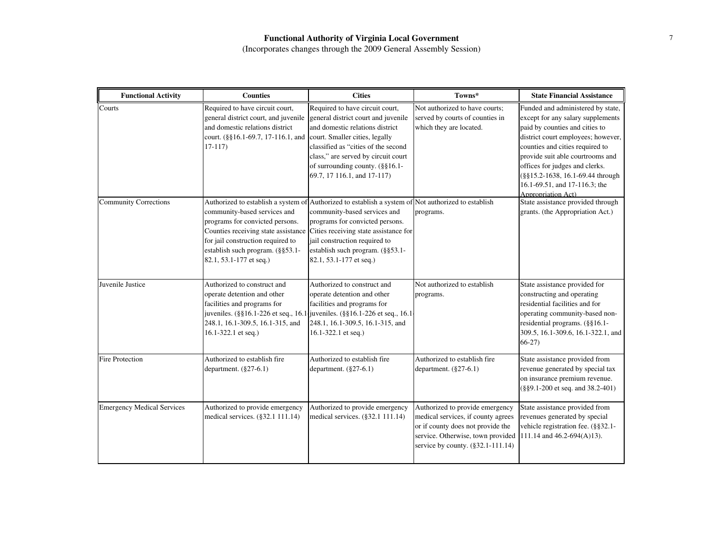| <b>Functional Activity</b>        | <b>Counties</b>                                                                                                                                                                                 | <b>Cities</b>                                                                                                                                                                                                                                                                                                                                       | Towns*                                                                                                                                                                               | <b>State Financial Assistance</b>                                                                                                                                                                                                                                                                                                                  |
|-----------------------------------|-------------------------------------------------------------------------------------------------------------------------------------------------------------------------------------------------|-----------------------------------------------------------------------------------------------------------------------------------------------------------------------------------------------------------------------------------------------------------------------------------------------------------------------------------------------------|--------------------------------------------------------------------------------------------------------------------------------------------------------------------------------------|----------------------------------------------------------------------------------------------------------------------------------------------------------------------------------------------------------------------------------------------------------------------------------------------------------------------------------------------------|
| Courts                            | Required to have circuit court,<br>general district court, and juvenile<br>and domestic relations district<br>court. $(\S\S16.1-69.7, 17-116.1,$ and court. Smaller cities, legally<br>$17-117$ | Required to have circuit court,<br>general district court and juvenile<br>and domestic relations district<br>classified as "cities of the second<br>class," are served by circuit court<br>of surrounding county. (§§16.1-<br>69.7, 17 116.1, and 17-117)                                                                                           | Not authorized to have courts;<br>served by courts of counties in<br>which they are located.                                                                                         | Funded and administered by state,<br>except for any salary supplements<br>paid by counties and cities to<br>district court employees; however,<br>counties and cities required to<br>provide suit able courtrooms and<br>offices for judges and clerks.<br>(§§15.2-1638, 16.1-69.44 through<br>16.1-69.51, and 17-116.3; the<br>Appropriation Act) |
| <b>Community Corrections</b>      | community-based services and<br>programs for convicted persons.<br>for jail construction required to<br>establish such program. (§§53.1-<br>82.1, 53.1-177 et seq.)                             | Authorized to establish a system of Authorized to establish a system of Not authorized to establish<br>community-based services and<br>programs for convicted persons.<br>Counties receiving state assistance Cities receiving state assistance for<br>jail construction required to<br>establish such program. (§§53.1-<br>82.1, 53.1-177 et seq.) | programs.                                                                                                                                                                            | State assistance provided through<br>grants. (the Appropriation Act.)                                                                                                                                                                                                                                                                              |
| Juvenile Justice                  | Authorized to construct and<br>operate detention and other<br>facilities and programs for<br>248.1, 16.1-309.5, 16.1-315, and<br>16.1-322.1 et seq.)                                            | Authorized to construct and<br>operate detention and other<br>facilities and programs for<br>juveniles. (§§16.1-226 et seq., 16.1 juveniles. (§§16.1-226 et seq., 16.1<br>248.1, 16.1-309.5, 16.1-315, and<br>16.1-322.1 et seq.)                                                                                                                   | Not authorized to establish<br>programs.                                                                                                                                             | State assistance provided for<br>constructing and operating<br>residential facilities and for<br>operating community-based non-<br>residential programs. (§§16.1-<br>309.5, 16.1-309.6, 16.1-322.1, and<br>$66-27$                                                                                                                                 |
| <b>Fire Protection</b>            | Authorized to establish fire<br>department. $(\S 27-6.1)$                                                                                                                                       | Authorized to establish fire<br>department. $(\S 27-6.1)$                                                                                                                                                                                                                                                                                           | Authorized to establish fire<br>department. $(\S 27-6.1)$                                                                                                                            | State assistance provided from<br>revenue generated by special tax<br>on insurance premium revenue.<br>(§§9.1-200 et seq. and 38.2-401)                                                                                                                                                                                                            |
| <b>Emergency Medical Services</b> | Authorized to provide emergency<br>medical services. (§32.1 111.14)                                                                                                                             | Authorized to provide emergency<br>medical services. (§32.1 111.14)                                                                                                                                                                                                                                                                                 | Authorized to provide emergency<br>medical services, if county agrees<br>or if county does not provide the<br>service. Otherwise, town provided<br>service by county. (§32.1-111.14) | State assistance provided from<br>revenues generated by special<br>vehicle registration fee. (§§32.1-<br>111.14 and 46.2-694(A)13).                                                                                                                                                                                                                |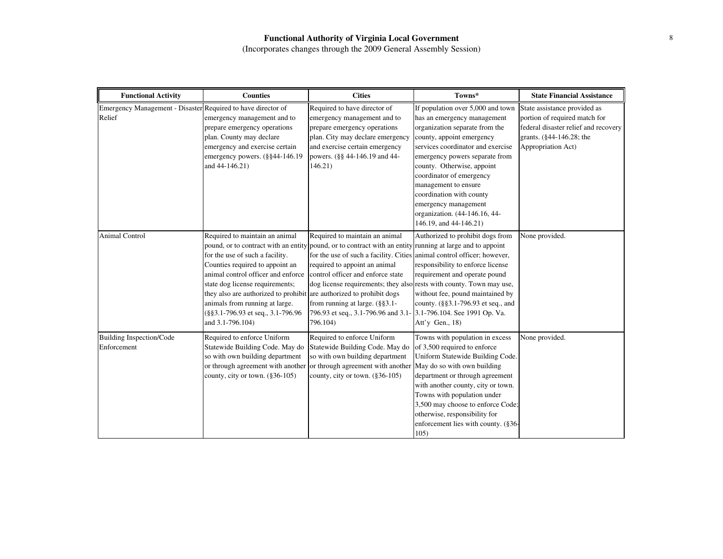| <b>Functional Activity</b>                                             | <b>Counties</b>                                                                                                                                                                                                                                                                                                                                   | <b>Cities</b>                                                                                                                                                                                                                                                                                                                                                                                                                                                | Towns*                                                                                                                                                                                                                                                                                                                                                                                                  | <b>State Financial Assistance</b>                                                                                                                       |
|------------------------------------------------------------------------|---------------------------------------------------------------------------------------------------------------------------------------------------------------------------------------------------------------------------------------------------------------------------------------------------------------------------------------------------|--------------------------------------------------------------------------------------------------------------------------------------------------------------------------------------------------------------------------------------------------------------------------------------------------------------------------------------------------------------------------------------------------------------------------------------------------------------|---------------------------------------------------------------------------------------------------------------------------------------------------------------------------------------------------------------------------------------------------------------------------------------------------------------------------------------------------------------------------------------------------------|---------------------------------------------------------------------------------------------------------------------------------------------------------|
| Emergency Management - Disaster Required to have director of<br>Relief | emergency management and to<br>prepare emergency operations<br>plan. County may declare<br>emergency and exercise certain<br>emergency powers. (§§44-146.19<br>and 44-146.21)                                                                                                                                                                     | Required to have director of<br>emergency management and to<br>prepare emergency operations<br>plan. City may declare emergency<br>and exercise certain emergency<br>powers. (§§ 44-146.19 and 44-<br>146.21)                                                                                                                                                                                                                                                | If population over 5,000 and town<br>has an emergency management<br>organization separate from the<br>county, appoint emergency<br>services coordinator and exercise<br>emergency powers separate from<br>county. Otherwise, appoint<br>coordinator of emergency<br>management to ensure<br>coordination with county<br>emergency management<br>organization. (44-146.16, 44-<br>146.19, and 44-146.21) | State assistance provided as<br>portion of required match for<br>federal disaster relief and recovery<br>grants. (§44-146.28; the<br>Appropriation Act) |
| <b>Animal Control</b>                                                  | Required to maintain an animal<br>for the use of such a facility.<br>Counties required to appoint an<br>animal control officer and enforce<br>state dog license requirements;<br>they also are authorized to prohibit are authorized to prohibit dogs<br>animals from running at large.<br>(§§3.1-796.93 et seq., 3.1-796.96)<br>and 3.1-796.104) | Required to maintain an animal<br>pound, or to contract with an entity pound, or to contract with an entity running at large and to appoint<br>for the use of such a facility. Cities animal control officer; however,<br>required to appoint an animal<br>control officer and enforce state<br>dog license requirements; they also rests with county. Town may use,<br>from running at large. $(\S$ §3.1-<br>796.93 et seq., 3.1-796.96 and 3.1<br>796.104) | Authorized to prohibit dogs from<br>responsibility to enforce license<br>requirement and operate pound<br>without fee, pound maintained by<br>county. (§§3.1-796.93 et seq., and<br>3.1-796.104. See 1991 Op. Va.<br>Att'y Gen., $18$ )                                                                                                                                                                 | None provided.                                                                                                                                          |
| <b>Building Inspection/Code</b><br>Enforcement                         | Required to enforce Uniform<br>Statewide Building Code. May do<br>so with own building department<br>or through agreement with another or through agreement with another<br>county, city or town. $(\$36-105)$                                                                                                                                    | Required to enforce Uniform<br>Statewide Building Code. May do<br>so with own building department<br>county, city or town. $(\$36-105)$                                                                                                                                                                                                                                                                                                                      | Towns with population in excess<br>of 3,500 required to enforce<br>Uniform Statewide Building Code.<br>May do so with own building<br>department or through agreement<br>with another county, city or town.<br>Towns with population under<br>3,500 may choose to enforce Code;<br>otherwise, responsibility for<br>enforcement lies with county. (§36-<br>105)                                         | None provided.                                                                                                                                          |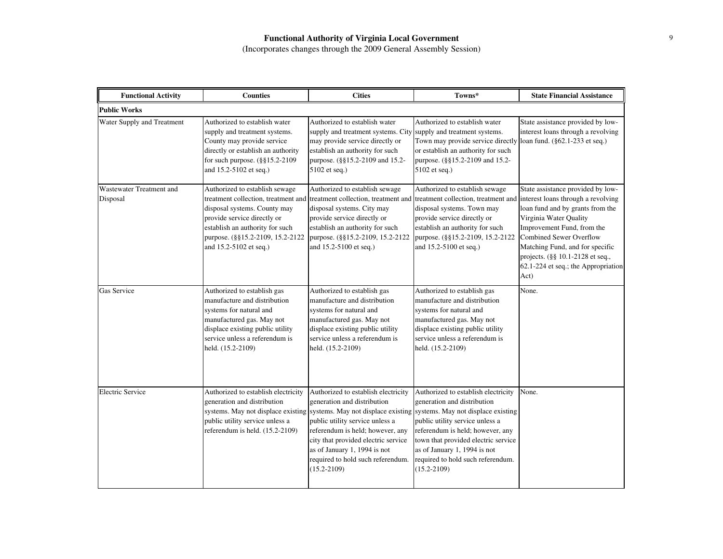| <b>Functional Activity</b>           | <b>Counties</b>                                                                                                                                                                                                                                                           | <b>Cities</b>                                                                                                                                                                                                                                                            | Towns*                                                                                                                                                                                                                                                                                                                                                                               | <b>State Financial Assistance</b>                                                                                                                                                                                                                                                     |
|--------------------------------------|---------------------------------------------------------------------------------------------------------------------------------------------------------------------------------------------------------------------------------------------------------------------------|--------------------------------------------------------------------------------------------------------------------------------------------------------------------------------------------------------------------------------------------------------------------------|--------------------------------------------------------------------------------------------------------------------------------------------------------------------------------------------------------------------------------------------------------------------------------------------------------------------------------------------------------------------------------------|---------------------------------------------------------------------------------------------------------------------------------------------------------------------------------------------------------------------------------------------------------------------------------------|
| <b>Public Works</b>                  |                                                                                                                                                                                                                                                                           |                                                                                                                                                                                                                                                                          |                                                                                                                                                                                                                                                                                                                                                                                      |                                                                                                                                                                                                                                                                                       |
| Water Supply and Treatment           | Authorized to establish water<br>supply and treatment systems.<br>County may provide service<br>directly or establish an authority<br>for such purpose. (§§15.2-2109)<br>and 15.2-5102 et seq.)                                                                           | Authorized to establish water<br>supply and treatment systems. City supply and treatment systems.<br>may provide service directly or<br>establish an authority for such<br>purpose. (§§15.2-2109 and 15.2-<br>5102 et seq.)                                              | Authorized to establish water<br>Town may provide service directly loan fund. (§62.1-233 et seq.)<br>or establish an authority for such<br>purpose. (§§15.2-2109 and 15.2-<br>5102 et seq.)                                                                                                                                                                                          | State assistance provided by low-<br>interest loans through a revolving                                                                                                                                                                                                               |
| Wastewater Treatment and<br>Disposal | Authorized to establish sewage<br>treatment collection, treatment and treatment collection, treatment and<br>disposal systems. County may<br>provide service directly or<br>establish an authority for such<br>purpose. (§§15.2-2109, 15.2-2122<br>and 15.2-5102 et seq.) | Authorized to establish sewage<br>disposal systems. City may<br>provide service directly or<br>establish an authority for such<br>purpose. (§§15.2-2109, 15.2-2122<br>and 15.2-5100 et seq.)                                                                             | Authorized to establish sewage<br>treatment collection, treatment and interest loans through a revolving<br>disposal systems. Town may<br>provide service directly or<br>establish an authority for such<br>purpose. (§§15.2-2109, 15.2-2122)<br>and 15.2-5100 et seq.)                                                                                                              | State assistance provided by low-<br>loan fund and by grants from the<br>Virginia Water Quality<br>Improvement Fund, from the<br><b>Combined Sewer Overflow</b><br>Matching Fund, and for specific<br>projects. (§§ 10.1-2128 et seq.,<br>62.1-224 et seq.; the Appropriation<br>Act) |
| Gas Service                          | Authorized to establish gas<br>manufacture and distribution<br>systems for natural and<br>manufactured gas. May not<br>displace existing public utility<br>service unless a referendum is<br>held. (15.2-2109)                                                            | Authorized to establish gas<br>manufacture and distribution<br>systems for natural and<br>manufactured gas. May not<br>displace existing public utility<br>service unless a referendum is<br>held. (15.2-2109)                                                           | Authorized to establish gas<br>manufacture and distribution<br>systems for natural and<br>manufactured gas. May not<br>displace existing public utility<br>service unless a referendum is<br>held. (15.2-2109)                                                                                                                                                                       | None.                                                                                                                                                                                                                                                                                 |
| <b>Electric Service</b>              | Authorized to establish electricity<br>generation and distribution<br>public utility service unless a<br>referendum is held. (15.2-2109)                                                                                                                                  | Authorized to establish electricity<br>generation and distribution<br>public utility service unless a<br>referendum is held; however, any<br>city that provided electric service<br>as of January 1, 1994 is not<br>required to hold such referendum.<br>$(15.2 - 2109)$ | Authorized to establish electricity<br>generation and distribution<br>systems. May not displace existing systems. May not displace existing systems. May not displace existing<br>public utility service unless a<br>referendum is held; however, any<br>town that provided electric service<br>as of January 1, 1994 is not<br>required to hold such referendum.<br>$(15.2 - 2109)$ | None.                                                                                                                                                                                                                                                                                 |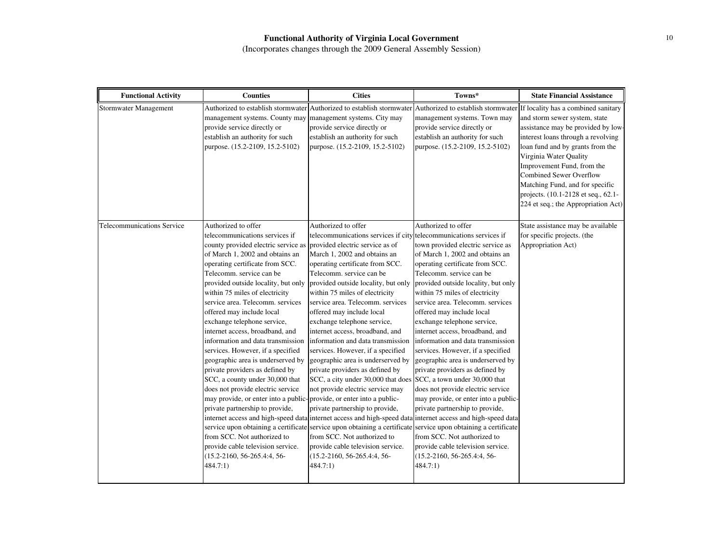| <b>Functional Activity</b>        | <b>Counties</b>                                                                                                                                                                                                                                                                                                                                                                                                                                                                                                                                                                                                                                                                                                                                                                                                                                                                                                                                                                                                                                                                                         | <b>Cities</b>                                                                                                                                                                                                                                                                                                                                                                                                                                                                                                                                                                                                                                                                                                                                                                                                                                               | Towns*                                                                                                                                                                                                                                                                                                                                                                                                                                                                                                                                                                                                                                                                                                                                                  | <b>State Financial Assistance</b>                                                                                                                                                                                                                                                                                                                        |
|-----------------------------------|---------------------------------------------------------------------------------------------------------------------------------------------------------------------------------------------------------------------------------------------------------------------------------------------------------------------------------------------------------------------------------------------------------------------------------------------------------------------------------------------------------------------------------------------------------------------------------------------------------------------------------------------------------------------------------------------------------------------------------------------------------------------------------------------------------------------------------------------------------------------------------------------------------------------------------------------------------------------------------------------------------------------------------------------------------------------------------------------------------|-------------------------------------------------------------------------------------------------------------------------------------------------------------------------------------------------------------------------------------------------------------------------------------------------------------------------------------------------------------------------------------------------------------------------------------------------------------------------------------------------------------------------------------------------------------------------------------------------------------------------------------------------------------------------------------------------------------------------------------------------------------------------------------------------------------------------------------------------------------|---------------------------------------------------------------------------------------------------------------------------------------------------------------------------------------------------------------------------------------------------------------------------------------------------------------------------------------------------------------------------------------------------------------------------------------------------------------------------------------------------------------------------------------------------------------------------------------------------------------------------------------------------------------------------------------------------------------------------------------------------------|----------------------------------------------------------------------------------------------------------------------------------------------------------------------------------------------------------------------------------------------------------------------------------------------------------------------------------------------------------|
| Stormwater Management             | management systems. County may<br>provide service directly or<br>establish an authority for such<br>purpose. (15.2-2109, 15.2-5102)                                                                                                                                                                                                                                                                                                                                                                                                                                                                                                                                                                                                                                                                                                                                                                                                                                                                                                                                                                     | management systems. City may<br>provide service directly or<br>establish an authority for such<br>purpose. (15.2-2109, 15.2-5102)                                                                                                                                                                                                                                                                                                                                                                                                                                                                                                                                                                                                                                                                                                                           | Authorized to establish stormwater Authorized to establish stormwater Authorized to establish stormwater If locality has a combined sanitary<br>management systems. Town may<br>provide service directly or<br>establish an authority for such<br>purpose. (15.2-2109, 15.2-5102)                                                                                                                                                                                                                                                                                                                                                                                                                                                                       | and storm sewer system, state<br>assistance may be provided by low-<br>interest loans through a revolving<br>loan fund and by grants from the<br>Virginia Water Quality<br>Improvement Fund, from the<br><b>Combined Sewer Overflow</b><br>Matching Fund, and for specific<br>projects. (10.1-2128 et seq., 62.1-<br>224 et seq.; the Appropriation Act) |
| <b>Telecommunications Service</b> | Authorized to offer<br>telecommunications services if<br>county provided electric service as<br>of March 1, 2002 and obtains an<br>operating certificate from SCC.<br>Telecomm. service can be<br>provided outside locality, but only<br>within 75 miles of electricity<br>service area. Telecomm. services<br>offered may include local<br>exchange telephone service,<br>internet access, broadband, and<br>information and data transmission<br>services. However, if a specified<br>geographic area is underserved by<br>private providers as defined by<br>SCC, a county under 30,000 that<br>does not provide electric service<br>may provide, or enter into a public-provide, or enter into a public-<br>private partnership to provide,<br>internet access and high-speed data internet access and high-speed data internet access and high-speed data<br>service upon obtaining a certificate service upon obtaining a certificate service upon obtaining a certificate<br>from SCC. Not authorized to<br>provide cable television service.<br>$(15.2 - 2160, 56 - 265.4; 4, 56 -$<br>484.7:1) | Authorized to offer<br>telecommunications services if city telecommunications services if<br>provided electric service as of<br>March 1, 2002 and obtains an<br>operating certificate from SCC.<br>Telecomm. service can be<br>provided outside locality, but only<br>within 75 miles of electricity<br>service area. Telecomm. services<br>offered may include local<br>exchange telephone service,<br>internet access, broadband, and<br>information and data transmission<br>services. However, if a specified<br>geographic area is underserved by<br>private providers as defined by<br>SCC, a city under 30,000 that does SCC, a town under 30,000 that<br>not provide electric service may<br>private partnership to provide,<br>from SCC. Not authorized to<br>provide cable television service.<br>$(15.2 - 2160, 56 - 265.4; 4, 56 -$<br>484.7:1) | Authorized to offer<br>town provided electric service as<br>of March 1, 2002 and obtains an<br>operating certificate from SCC.<br>Telecomm. service can be<br>provided outside locality, but only<br>within 75 miles of electricity<br>service area. Telecomm. services<br>offered may include local<br>exchange telephone service,<br>internet access, broadband, and<br>information and data transmission<br>services. However, if a specified<br>geographic area is underserved by<br>private providers as defined by<br>does not provide electric service<br>may provide, or enter into a public-<br>private partnership to provide,<br>from SCC. Not authorized to<br>provide cable television service.<br>(15.2-2160, 56-265.4:4, 56-<br>484.7:1) | State assistance may be available<br>for specific projects. (the<br>Appropriation Act)                                                                                                                                                                                                                                                                   |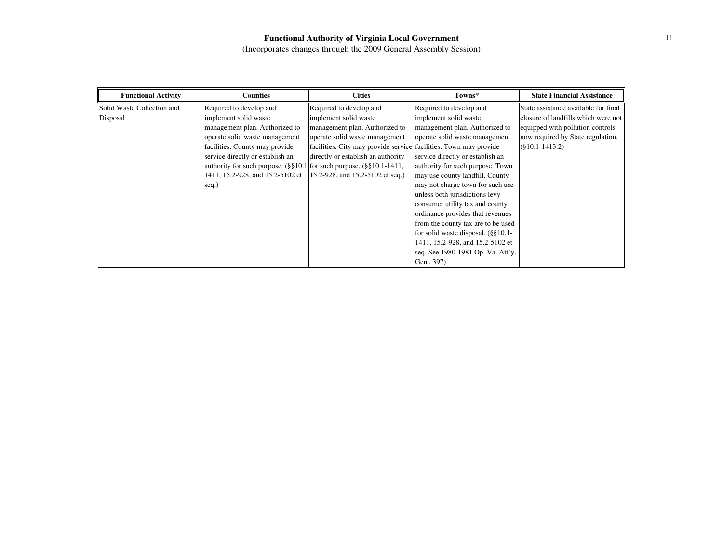| <b>Functional Activity</b> | <b>Counties</b>                                                                              | <b>Cities</b>                                                     | Towns*                                  | <b>State Financial Assistance</b>    |
|----------------------------|----------------------------------------------------------------------------------------------|-------------------------------------------------------------------|-----------------------------------------|--------------------------------------|
| Solid Waste Collection and | Required to develop and                                                                      | Required to develop and                                           | Required to develop and                 | State assistance available for final |
| Disposal                   | implement solid waste                                                                        | implement solid waste                                             | implement solid waste                   | closure of landfills which were not  |
|                            | management plan. Authorized to                                                               | management plan. Authorized to                                    | management plan. Authorized to          | equipped with pollution controls     |
|                            | operate solid waste management                                                               | operate solid waste management                                    | operate solid waste management          | now required by State regulation.    |
|                            | facilities. County may provide                                                               | facilities. City may provide service facilities. Town may provide |                                         | $(\$10.1-1413.2)$                    |
|                            | service directly or establish an                                                             | directly or establish an authority                                | service directly or establish an        |                                      |
|                            | authority for such purpose. $(\frac{8}{510.1})$ for such purpose. $(\frac{8}{510.1})$ -1411, |                                                                   | authority for such purpose. Town        |                                      |
|                            | 1411, 15.2-928, and 15.2-5102 et                                                             | 15.2-928, and 15.2-5102 et seq.)                                  | may use county landfill. County         |                                      |
|                            | seq.)                                                                                        |                                                                   | may not charge town for such use        |                                      |
|                            |                                                                                              |                                                                   | unless both jurisdictions levy          |                                      |
|                            |                                                                                              |                                                                   | consumer utility tax and county         |                                      |
|                            |                                                                                              |                                                                   | ordinance provides that revenues        |                                      |
|                            |                                                                                              |                                                                   | from the county tax are to be used      |                                      |
|                            |                                                                                              |                                                                   | for solid waste disposal. $(\S\S10.1 -$ |                                      |
|                            |                                                                                              |                                                                   | 1411, 15.2-928, and 15.2-5102 et        |                                      |
|                            |                                                                                              |                                                                   | seq. See 1980-1981 Op. Va. Att'y.       |                                      |
|                            |                                                                                              |                                                                   | Gen., 397)                              |                                      |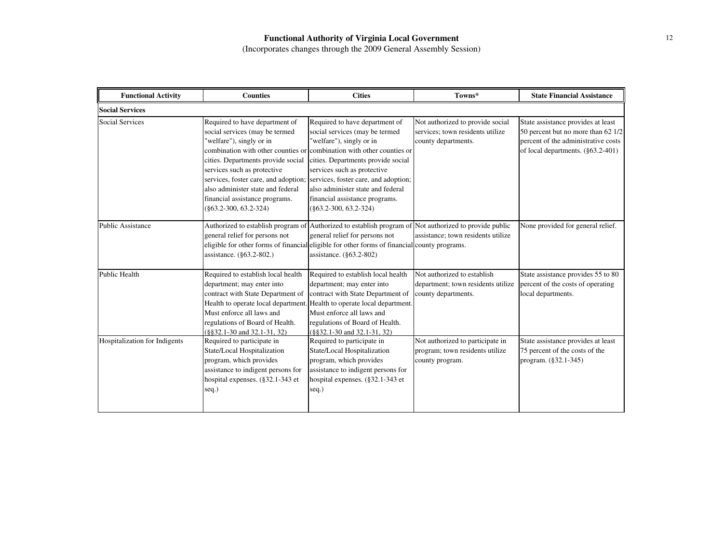| <b>Functional Activity</b>    | <b>Counties</b>                                                                                                                                                                                                                                                                                              | <b>Cities</b>                                                                                                                                                                                                                                                                                                                                                                         | Towns*                                                                                      | <b>State Financial Assistance</b>                                                                                                                    |
|-------------------------------|--------------------------------------------------------------------------------------------------------------------------------------------------------------------------------------------------------------------------------------------------------------------------------------------------------------|---------------------------------------------------------------------------------------------------------------------------------------------------------------------------------------------------------------------------------------------------------------------------------------------------------------------------------------------------------------------------------------|---------------------------------------------------------------------------------------------|------------------------------------------------------------------------------------------------------------------------------------------------------|
| <b>Social Services</b>        |                                                                                                                                                                                                                                                                                                              |                                                                                                                                                                                                                                                                                                                                                                                       |                                                                                             |                                                                                                                                                      |
| <b>Social Services</b>        | Required to have department of<br>social services (may be termed<br>"welfare"), singly or in<br>cities. Departments provide social<br>services such as protective<br>services, foster care, and adoption;<br>also administer state and federal<br>financial assistance programs.<br>$(\$63.2-300, 63.2-324)$ | Required to have department of<br>social services (may be termed<br>"welfare"), singly or in<br>combination with other counties or combination with other counties or<br>cities. Departments provide social<br>services such as protective<br>services, foster care, and adoption;<br>also administer state and federal<br>financial assistance programs.<br>$(\$63.2-300, 63.2-324)$ | Not authorized to provide social<br>services: town residents utilize<br>county departments. | State assistance provides at least<br>50 percent but no more than 62 1/2<br>percent of the administrative costs<br>of local departments. (§63.2-401) |
| <b>Public Assistance</b>      | general relief for persons not<br>assistance. (§63.2-802.)                                                                                                                                                                                                                                                   | Authorized to establish program of Authorized to establish program of Not authorized to provide public<br>general relief for persons not<br>eligible for other forms of financial eligible for other forms of financial county programs.<br>assistance. (§63.2-802)                                                                                                                   | assistance; town residents utilize                                                          | None provided for general relief.                                                                                                                    |
| <b>Public Health</b>          | Required to establish local health<br>department; may enter into<br>contract with State Department of<br>Must enforce all laws and<br>regulations of Board of Health.<br>$(\$§32.1-30$ and $32.1-31$ , 32)                                                                                                   | Required to establish local health<br>department; may enter into<br>contract with State Department of<br>Health to operate local department. Health to operate local department.<br>Must enforce all laws and<br>regulations of Board of Health.<br>$(\$§32.1-30$ and $32.1-31$ , 32)                                                                                                 | Not authorized to establish<br>department; town residents utilize<br>county departments.    | State assistance provides 55 to 80<br>percent of the costs of operating<br>local departments.                                                        |
| Hospitalization for Indigents | Required to participate in<br>State/Local Hospitalization<br>program, which provides<br>assistance to indigent persons for<br>hospital expenses. (§32.1-343 et<br>seq.)                                                                                                                                      | Required to participate in<br>State/Local Hospitalization<br>program, which provides<br>assistance to indigent persons for<br>hospital expenses. (§32.1-343 et<br>seq.)                                                                                                                                                                                                               | Not authorized to participate in<br>program; town residents utilize<br>county program.      | State assistance provides at least<br>75 percent of the costs of the<br>program. (§32.1-345)                                                         |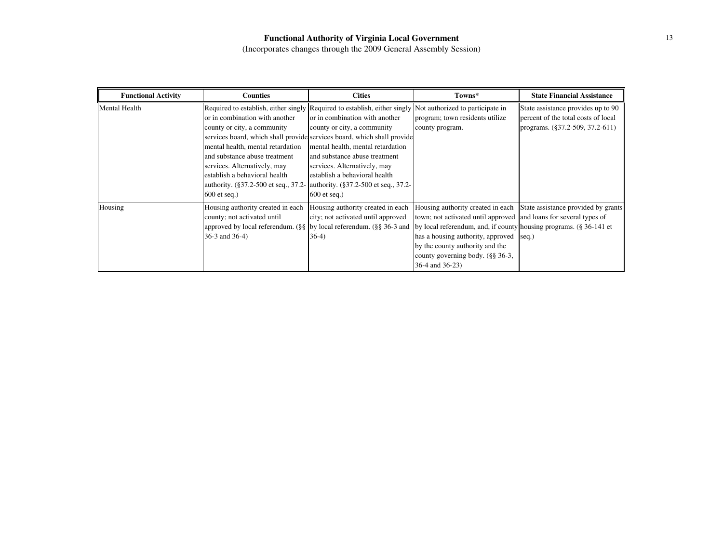| <b>Functional Activity</b> | <b>Counties</b>                                                                                                                                                                                                                                                                                                                      | <b>Cities</b>                                                                                                                                                                                                                                                                                                                                                                  | Towns*                                                                                                                                                                                                                                                                                                                                                                                                              | <b>State Financial Assistance</b>                                                                            |
|----------------------------|--------------------------------------------------------------------------------------------------------------------------------------------------------------------------------------------------------------------------------------------------------------------------------------------------------------------------------------|--------------------------------------------------------------------------------------------------------------------------------------------------------------------------------------------------------------------------------------------------------------------------------------------------------------------------------------------------------------------------------|---------------------------------------------------------------------------------------------------------------------------------------------------------------------------------------------------------------------------------------------------------------------------------------------------------------------------------------------------------------------------------------------------------------------|--------------------------------------------------------------------------------------------------------------|
| <b>Mental Health</b>       | Required to establish, either singly Required to establish, either singly Not authorized to participate in<br>or in combination with another<br>county or city, a community<br>mental health, mental retardation<br>and substance abuse treatment<br>services. Alternatively, may<br>establish a behavioral health<br>$600$ et seq.) | or in combination with another<br>county or city, a community<br>services board, which shall provide services board, which shall provide<br>mental health, mental retardation<br>and substance abuse treatment<br>services. Alternatively, may<br>establish a behavioral health<br>authority. (§37.2-500 et seq., 37.2- authority. (§37.2-500 et seq., 37.2-<br>$600$ et seq.) | program; town residents utilize<br>county program.                                                                                                                                                                                                                                                                                                                                                                  | State assistance provides up to 90<br>percent of the total costs of local<br>programs. (§37.2-509, 37.2-611) |
| Housing                    | Housing authority created in each<br>county; not activated until<br>$36-3$ and $36-4$ )                                                                                                                                                                                                                                              | Housing authority created in each<br>city; not activated until approved<br>$36-4)$                                                                                                                                                                                                                                                                                             | Housing authority created in each State assistance provided by grants<br>town; not activated until approved and loans for several types of<br>approved by local referendum. (§§ by local referendum. (§§ 36-3 and by local referendum, and, if county housing programs. (§ 36-141 et<br>has a housing authority, approved<br>by the county authority and the<br>county governing body. (§§ 36-3,<br>36-4 and 36-23) | seq.)                                                                                                        |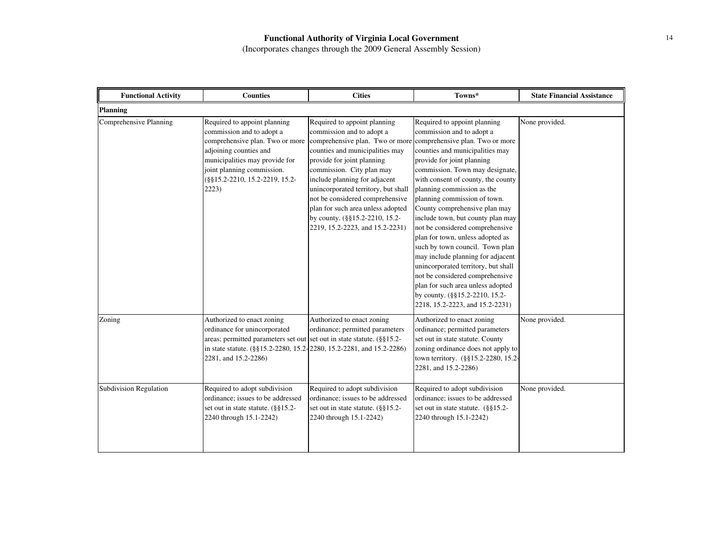| <b>Functional Activity</b>    | <b>Counties</b>                                                                                                                                                                                                                      | <b>Cities</b>                                                                                                                                                                                                                                                                                                                                                                                                                                                                   | Towns*                                                                                                                                                                                                                                                                                                                                                                                                                                                                                                                                                                                                                                                                     | <b>State Financial Assistance</b> |  |
|-------------------------------|--------------------------------------------------------------------------------------------------------------------------------------------------------------------------------------------------------------------------------------|---------------------------------------------------------------------------------------------------------------------------------------------------------------------------------------------------------------------------------------------------------------------------------------------------------------------------------------------------------------------------------------------------------------------------------------------------------------------------------|----------------------------------------------------------------------------------------------------------------------------------------------------------------------------------------------------------------------------------------------------------------------------------------------------------------------------------------------------------------------------------------------------------------------------------------------------------------------------------------------------------------------------------------------------------------------------------------------------------------------------------------------------------------------------|-----------------------------------|--|
| <b>Planning</b>               |                                                                                                                                                                                                                                      |                                                                                                                                                                                                                                                                                                                                                                                                                                                                                 |                                                                                                                                                                                                                                                                                                                                                                                                                                                                                                                                                                                                                                                                            |                                   |  |
| Comprehensive Planning        | Required to appoint planning<br>commission and to adopt a<br>adjoining counties and<br>municipalities may provide for<br>joint planning commission.<br>(§§15.2-2210, 15.2-2219, 15.2-<br>2223)                                       | Required to appoint planning<br>commission and to adopt a<br>comprehensive plan. Two or more comprehensive plan. Two or more comprehensive plan. Two or more<br>counties and municipalities may<br>provide for joint planning<br>commission. City plan may<br>include planning for adjacent<br>unincorporated territory, but shall<br>not be considered comprehensive<br>plan for such area unless adopted<br>by county. (§§15.2-2210, 15.2-<br>2219, 15.2-2223, and 15.2-2231) | Required to appoint planning<br>commission and to adopt a<br>counties and municipalities may<br>provide for joint planning<br>commission. Town may designate,<br>with consent of county, the county<br>planning commission as the<br>planning commission of town.<br>County comprehensive plan may<br>include town, but county plan may<br>not be considered comprehensive<br>plan for town, unless adopted as<br>such by town council. Town plan<br>may include planning for adjacent<br>unincorporated territory, but shall<br>not be considered comprehensive<br>plan for such area unless adopted<br>by county. (§§15.2-2210, 15.2-<br>2218, 15.2-2223, and 15.2-2231) | None provided.                    |  |
| Zoning                        | Authorized to enact zoning<br>ordinance for unincorporated<br>areas; permitted parameters set out set out in state statute. (§§15.2-<br>in state statute. (§§15.2-2280, 15.2-2280, 15.2-2281, and 15.2-2286)<br>2281, and 15.2-2286) | Authorized to enact zoning<br>ordinance; permitted parameters                                                                                                                                                                                                                                                                                                                                                                                                                   | Authorized to enact zoning<br>ordinance; permitted parameters<br>set out in state statute. County<br>zoning ordinance does not apply to<br>town territory. (§§15.2-2280, 15.2-<br>2281, and 15.2-2286)                                                                                                                                                                                                                                                                                                                                                                                                                                                                     | None provided.                    |  |
| <b>Subdivision Regulation</b> | Required to adopt subdivision<br>ordinance; issues to be addressed<br>set out in state statute. (§§15.2-<br>2240 through 15.1-2242)                                                                                                  | Required to adopt subdivision<br>ordinance; issues to be addressed<br>set out in state statute. (§§15.2-<br>2240 through 15.1-2242)                                                                                                                                                                                                                                                                                                                                             | Required to adopt subdivision<br>ordinance; issues to be addressed<br>set out in state statute. (§§15.2-<br>2240 through 15.1-2242)                                                                                                                                                                                                                                                                                                                                                                                                                                                                                                                                        | None provided.                    |  |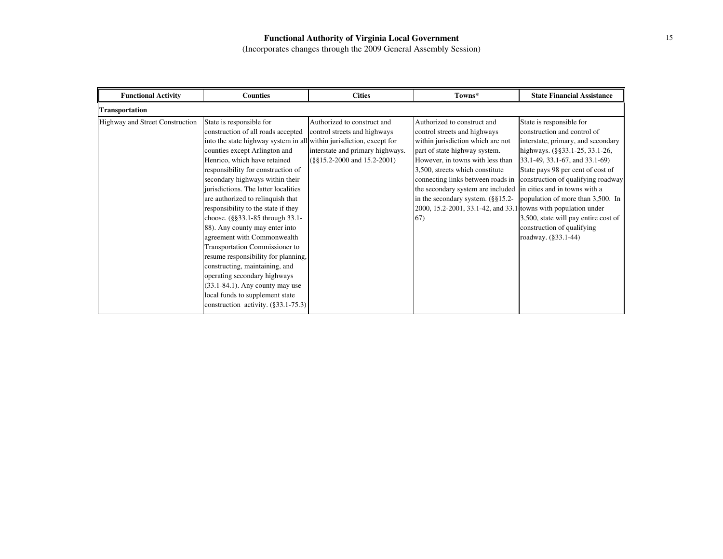| <b>Functional Activity</b>      | <b>Counties</b>                                                                                                                                                                                                                                                                                                                                                                                                                                                                                                                                                                                                                                                                                                                                                            | <b>Cities</b>                                                                                                                       | Towns*                                                                                                                                                                                                                                                                                                                                                                                                  | <b>State Financial Assistance</b>                                                                                                                                                                                                                                                                                                                                                                               |
|---------------------------------|----------------------------------------------------------------------------------------------------------------------------------------------------------------------------------------------------------------------------------------------------------------------------------------------------------------------------------------------------------------------------------------------------------------------------------------------------------------------------------------------------------------------------------------------------------------------------------------------------------------------------------------------------------------------------------------------------------------------------------------------------------------------------|-------------------------------------------------------------------------------------------------------------------------------------|---------------------------------------------------------------------------------------------------------------------------------------------------------------------------------------------------------------------------------------------------------------------------------------------------------------------------------------------------------------------------------------------------------|-----------------------------------------------------------------------------------------------------------------------------------------------------------------------------------------------------------------------------------------------------------------------------------------------------------------------------------------------------------------------------------------------------------------|
| Transportation                  |                                                                                                                                                                                                                                                                                                                                                                                                                                                                                                                                                                                                                                                                                                                                                                            |                                                                                                                                     |                                                                                                                                                                                                                                                                                                                                                                                                         |                                                                                                                                                                                                                                                                                                                                                                                                                 |
| Highway and Street Construction | State is responsible for<br>construction of all roads accepted<br>into the state highway system in all within jurisdiction, except for<br>counties except Arlington and<br>Henrico, which have retained<br>responsibility for construction of<br>secondary highways within their<br>jurisdictions. The latter localities<br>are authorized to relinquish that<br>responsibility to the state if they<br>choose. (§§33.1-85 through 33.1-<br>88). Any county may enter into<br>agreement with Commonwealth<br>Transportation Commissioner to<br>resume responsibility for planning,<br>constructing, maintaining, and<br>operating secondary highways<br>$(33.1-84.1)$ . Any county may use<br>local funds to supplement state<br>construction activity. $(\S 33.1 - 75.3)$ | Authorized to construct and<br>control streets and highways<br>interstate and primary highways.<br>$(\$§15.2-2000$ and $15.2-2001)$ | Authorized to construct and<br>control streets and highways<br>within jurisdiction which are not<br>part of state highway system.<br>However, in towns with less than<br>3,500, streets which constitute<br>connecting links between roads in<br>the secondary system are included<br>in the secondary system. $(\S \S 15.2 -$<br>2000, 15.2-2001, 33.1-42, and 33.1 towns with population under<br>67) | State is responsible for<br>construction and control of<br>interstate, primary, and secondary<br>highways. (§§33.1-25, 33.1-26,<br>33.1-49, 33.1-67, and 33.1-69)<br>State pays 98 per cent of cost of<br>construction of qualifying roadway<br>in cities and in towns with a<br>population of more than 3,500. In<br>3,500, state will pay entire cost of<br>construction of qualifying<br>roadway. (§33.1-44) |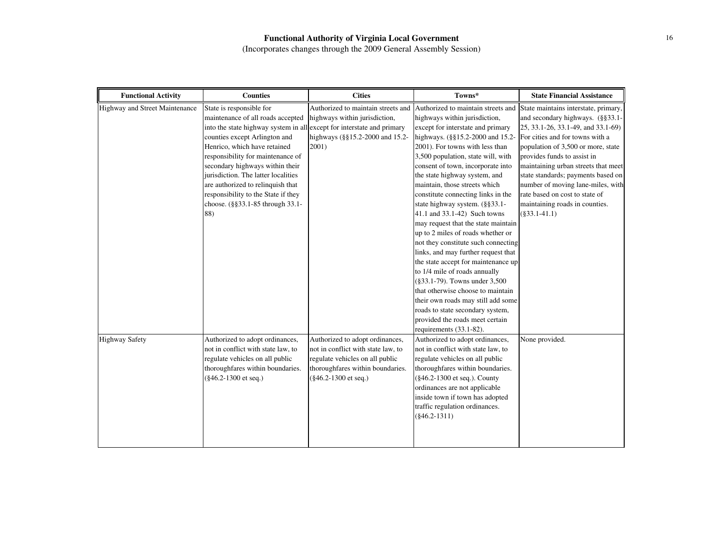| <b>Functional Activity</b>     | <b>Counties</b>                                                                                                                                                                                                                                                                                                                                                                                                                                | <b>Cities</b>                                                                                                                                                        | Towns*                                                                                                                                                                                                                                                                                                                                                                                                                                                                                                                                                                                                                                                                                                                                                                                                                                                                                                                  | <b>State Financial Assistance</b>                                                                                                                                                                                                                                                                                                                                                                                               |
|--------------------------------|------------------------------------------------------------------------------------------------------------------------------------------------------------------------------------------------------------------------------------------------------------------------------------------------------------------------------------------------------------------------------------------------------------------------------------------------|----------------------------------------------------------------------------------------------------------------------------------------------------------------------|-------------------------------------------------------------------------------------------------------------------------------------------------------------------------------------------------------------------------------------------------------------------------------------------------------------------------------------------------------------------------------------------------------------------------------------------------------------------------------------------------------------------------------------------------------------------------------------------------------------------------------------------------------------------------------------------------------------------------------------------------------------------------------------------------------------------------------------------------------------------------------------------------------------------------|---------------------------------------------------------------------------------------------------------------------------------------------------------------------------------------------------------------------------------------------------------------------------------------------------------------------------------------------------------------------------------------------------------------------------------|
| Highway and Street Maintenance | State is responsible for<br>maintenance of all roads accepted<br>into the state highway system in all except for interstate and primary<br>counties except Arlington and<br>Henrico, which have retained<br>responsibility for maintenance of<br>secondary highways within their<br>jurisdiction. The latter localities<br>are authorized to relinquish that<br>responsibility to the State if they<br>choose. (§§33.1-85 through 33.1-<br>88) | highways within jurisdiction,<br>highways (§§15.2-2000 and 15.2-<br>2001)                                                                                            | Authorized to maintain streets and Authorized to maintain streets and<br>highways within jurisdiction,<br>except for interstate and primary<br>highways. (§§15.2-2000 and 15.2-<br>2001). For towns with less than<br>3,500 population, state will, with<br>consent of town, incorporate into<br>the state highway system, and<br>maintain, those streets which<br>constitute connecting links in the<br>state highway system. (§§33.1-<br>41.1 and 33.1-42) Such towns<br>may request that the state maintain<br>up to 2 miles of roads whether or<br>not they constitute such connecting<br>links, and may further request that<br>the state accept for maintenance up<br>to 1/4 mile of roads annually<br>(§33.1-79). Towns under 3,500<br>that otherwise choose to maintain<br>their own roads may still add some<br>roads to state secondary system,<br>provided the roads meet certain<br>requirements (33.1-82). | State maintains interstate, primary,<br>and secondary highways. (§§33.1-<br>25, 33.1-26, 33.1-49, and 33.1-69)<br>For cities and for towns with a<br>population of 3,500 or more, state<br>provides funds to assist in<br>maintaining urban streets that meet<br>state standards; payments based on<br>number of moving lane-miles, with<br>rate based on cost to state of<br>maintaining roads in counties.<br>$(\$33.1-41.1)$ |
| <b>Highway Safety</b>          | Authorized to adopt ordinances,<br>not in conflict with state law, to<br>regulate vehicles on all public<br>thoroughfares within boundaries.<br>(§46.2-1300 et seq.)                                                                                                                                                                                                                                                                           | Authorized to adopt ordinances,<br>not in conflict with state law, to<br>regulate vehicles on all public<br>thoroughfares within boundaries.<br>(§46.2-1300 et seq.) | Authorized to adopt ordinances,<br>not in conflict with state law, to<br>regulate vehicles on all public<br>thoroughfares within boundaries.<br>(§46.2-1300 et seq.). County<br>ordinances are not applicable<br>inside town if town has adopted<br>traffic regulation ordinances.<br>$(\$46.2-1311)$                                                                                                                                                                                                                                                                                                                                                                                                                                                                                                                                                                                                                   | None provided.                                                                                                                                                                                                                                                                                                                                                                                                                  |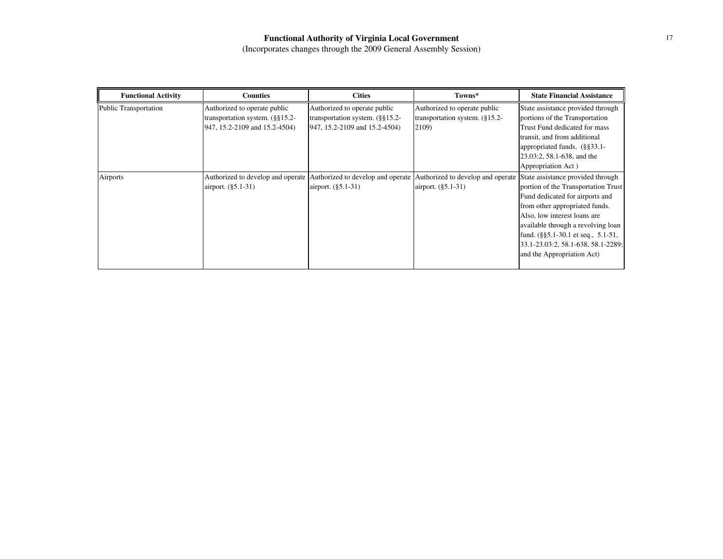| <b>Functional Activity</b>   | <b>Counties</b>                                                                                       | <b>Cities</b>                                                                                         | Towns*                                                                                                                                                        | <b>State Financial Assistance</b>                                                                                                                                                                                                                                                                      |
|------------------------------|-------------------------------------------------------------------------------------------------------|-------------------------------------------------------------------------------------------------------|---------------------------------------------------------------------------------------------------------------------------------------------------------------|--------------------------------------------------------------------------------------------------------------------------------------------------------------------------------------------------------------------------------------------------------------------------------------------------------|
| <b>Public Transportation</b> | Authorized to operate public<br>transportation system. $(\S\S15.2 -$<br>947, 15.2-2109 and 15.2-4504) | Authorized to operate public<br>transportation system. $(\S\S15.2 -$<br>947, 15.2-2109 and 15.2-4504) | Authorized to operate public<br>transportation system. $(\S 15.2 -$<br>2109)                                                                                  | State assistance provided through<br>portions of the Transportation<br>Trust Fund dedicated for mass<br>transit, and from additional<br>appropriated funds. (§§33.1-<br>23.03:2, 58.1-638, and the<br>Appropriation Act)                                                                               |
| Airports                     | airport. (§5.1-31)                                                                                    | airport. (§5.1-31)                                                                                    | Authorized to develop and operate Authorized to develop and operate Authorized to develop and operate State assistance provided through<br>airport. (§5.1-31) | portion of the Transportation Trust<br>Fund dedicated for airports and<br>from other appropriated funds.<br>Also, low interest loans are<br>available through a revolving loan<br>fund. $(\frac{8}{5}5.1 - 30.1)$ et seq., 5.1-51,<br>33.1-23.03:2, 58.1-638, 58.1-2289;<br>and the Appropriation Act) |